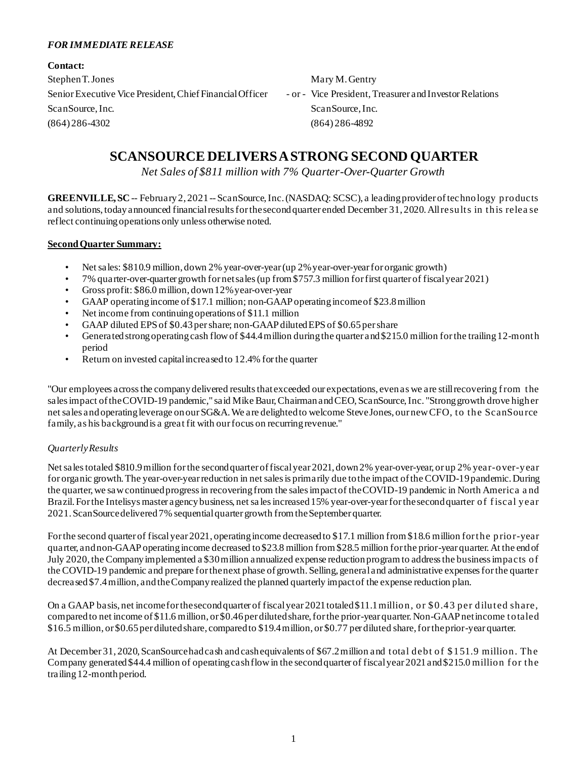### *FOR IMMEDIATE RELEASE*

**Contact:** Stephen T. Jones Mary M. Gentry Senior Executive Vice President, Chief Financial Officer - or - Vice President, Treasurer and Investor Relations ScanSource, Inc. ScanSource, Inc. ScanSource, Inc. (864) 286-4302 (864) 286-4892

# **SCANSOURCE DELIVERS A STRONG SECOND QUARTER**

*Net Sales of \$811 million with 7% Quarter-Over-Quarter Growth*

**GREENVILLE, SC**-- February 2, 2021 -- ScanSource, Inc. (NASDAQ: SCSC), a leading provider of technology products and solutions, today announced financial results for the second quarter ended December 31, 2020. All results in this relea se reflect continuing operations only unless otherwise noted.

#### **Second Quarter Summary:**

- Net sales: \$810.9 million, down 2% year-over-year (up 2% year-over-year for organic growth)
- 7% quarter-over-quarter growth for net sales (up from \$757.3 million for first quarter of fiscal year 2021)
- Gross profit: \$86.0 million, down 12% year-over-year
- GAAP operating income of \$17.1 million; non-GAAP operating income of \$23.8 million
- Net income from continuing operations of \$11.1 million
- GAAP diluted EPS of \$0.43 per share; non-GAAP diluted EPS of \$0.65 per share
- Generated strong operating cash flow of \$44.4 million during the quarter and \$215.0 million for the trailing 12-month period
- Return on invested capital increased to 12.4% for the quarter

"Our employees across the company delivered results that exceeded our expectations, even as we are still recovering f rom the sales impact of the COVID-19 pandemic," said Mike Baur, Chairman and CEO, ScanSource, Inc. "Strong growth drove higher net sales and operating leverage on our SG&A. We are delighted to welcome Steve Jones, our new CFO, to the ScanSource family, as his background is a great fit with our focus on recurring revenue."

#### *Quarterly Results*

Net sales totaled \$810.9 million for the second quarter of fiscal year 2021, down 2% year-over-year, or up 2% year-over-year for organic growth. The year-over-year reduction in net sales is primarily due to the impact of the COVID-19 pandemic. During the quarter, we saw continued progress in recovering from the sales impact of the COVID-19 pandemic in North America a nd Brazil. For the Intelisys master agency business, net sa les increased 15% year-over-year for the second quarter of f iscal year 2021. ScanSource delivered 7% sequential quarter growth from the September quarter.

For the second quarter of fiscal year 2021, operating income decreased to \$17.1 million from \$18.6 million for the prior-year quarter, and non-GAAP operating income decreased to \$23.8 million from \$28.5 million for the prior-year quarter. At the end of July 2020, the Company implemented a \$30 million annualized expense reduction program to address the business impacts of the COVID-19 pandemic and prepare for the next phase of growth. Selling, general and administrative expenses for the quarter decreased \$7.4million, and the Company realized the planned quarterly impact of the expense reduction plan.

On a GAAP basis, net income for the second quarter of fiscal year 2021 totaled \$11.1 million, or \$0.43 per diluted share, compared to net income of \$11.6 million, or \$0.46 per diluted share, for the prior-year quarter. Non-GAAP net income totaled \$16.5 million, or \$0.65 per diluted share, compared to \$19.4 million, or \$0.77 per diluted share, for the prior-year quarter.

At December 31, 2020, ScanSource had cash and cash equivalents of \$67.2 million and total debt of \$151.9 million. The Company generated \$44.4 million of operating cash flow in the second quarter of fiscal year 2021 and \$215.0 million f or the trailing 12-month period.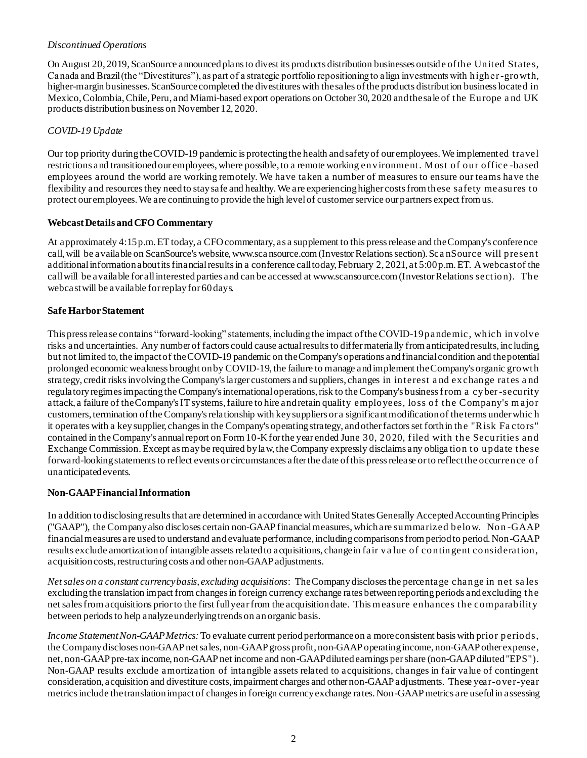#### *Discontinued Operations*

On August 20, 2019, ScanSource announced plans to divest its products distribution businesses outside of the United States, Canada and Brazil (the "Divestitures"), as part of a strategic portfolio repositioning to align investments with higher-growth, higher-margin businesses. ScanSource completed the divestitures with the sales of the products distribution business located in Mexico, Colombia, Chile, Peru, and Miami-based export operations on October 30, 2020 and the sale of the Europe a nd UK products distribution business on November 12, 2020.

#### *COVID-19 Update*

Our top priority during the COVID-19 pandemic is protecting the health and safety of our employees. We implemented travel restrictions and transitioned our employees, where possible, to a remote working environment. Most of our office -based employees around the world are working remotely. We have taken a number of measures to ensure our teams have the flexibility and resources they need to stay safe and healthy. We are experiencing higher costs from these safety measures to protect our employees. We are continuing to provide the high level of customer service our partners expect from us.

#### **Webcast Details and CFO Commentary**

At approximately 4:15 p.m. ET today, a CFO commentary, as a supplement to this press release and the Company's conference call, will be available on ScanSource's website, www.sca nsource.com (Investor Relations section). Sca nSource will present additional information about its financial results in a conference call today, February 2, 2021, at 5:00 p.m. ET. A webcast of the call will be available for all interested parties and can be accessed at www.scansource.com (Investor Relations section). The webcast will be available for replay for 60 days.

#### **Safe Harbor Statement**

This press release contains "forward-looking" statements, including the impact of the COVID-19 pandemic, which involve risks and uncertainties. Any number of factors could cause actual results to differ materially from anticipated results, including, but not limited to, the impact of the COVID-19 pandemic on the Company's operations and financial condition and the potential prolonged economic weakness brought on by COVID-19, the failure to manage and implement the Company's organic growth strategy, credit risks involving the Company's larger customers and suppliers, changes in interest a nd exchange rates a nd regulatory regimes impacting the Company's international operations, risk to the Company's business f rom a cyber-security attack, a failure of the Company's IT systems, failure to hire and retain quality employees, loss of the Company's m ajor customers, termination of the Company's relationship with key suppliers or a significant modification of the terms under whic h it operates with a key supplier, changes in the Company's operating strategy, and other factors set forth in the "Risk Fa ctors" contained in the Company's annual report on Form 10-K for the year ended June 30, 2020, f iled with the Securities and Exchange Commission. Except as may be required by law, the Company expressly disclaims any obliga tion to update these forward-looking statements to reflect events or circumstances after the date of this press release or to reflect the occurrence of unanticipated events.

#### **Non-GAAP Financial Information**

In addition to disclosing results that are determined in accordance with United States Generally Accepted Accounting Principles ("GAAP"), the Company also discloses certain non-GAAP financial measures, which are summarized below. Non -GAAP financial measures are used to understand and evaluate performance, including comparisons from period to period. Non-GAAP results exclude amortization of intangible assets related to acquisitions, change in fair va lue of contingent consideration, acquisition costs, restructuring costs and other non-GAAP adjustments.

*Net sales on a constant currency basis, excluding acquisitions*: The Company discloses the percentage change in net sa les excluding the translation impact from changes in foreign currency exchange rates between reporting periods and excluding the net sales from acquisitions prior to the first full year from the acquisition date. This m easure enhances the comparability between periods to help analyze underlying trends on an organic basis.

*Income Statement Non-GAAP Metrics:* To evaluate current period performance on a more consistent basis with prior periods, the Company discloses non-GAAP net sales, non-GAAP gross profit, non-GAAP operating income, non-GAAP other expense, net, non-GAAP pre-tax income, non-GAAP net income and non-GAAP diluted earnings per share (non-GAAP diluted "EPS"). Non-GAAP results exclude amortization of intangible assets related to acquisitions, changes in fair value of contingent consideration, acquisition and divestiture costs, impairment charges and other non-GAAP adjustments. These year-over-year metrics include the translation impact of changes in foreign currency exchange rates. Non-GAAP metrics are useful in assessing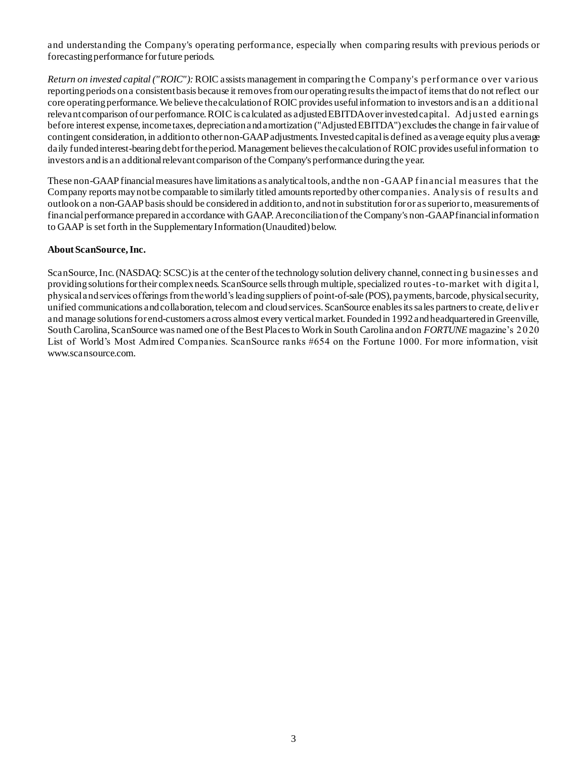and understanding the Company's operating performance, especially when comparing results with previous periods or forecasting performance for future periods.

*Return on invested capital ("ROIC"):* ROIC assists management in comparing the Company's performance over various reporting periods on a consistent basis because it removes from our operating results the impact of items that do not reflect our core operating performance. We believe the calculation of ROIC provides useful information to investors and is an a dditional relevant comparison of our performance. ROIC is calculated as adjusted EBITDA over invested capital. Adjusted earnings before interest expense, income taxes, depreciation and amortization ("Adjusted EBITDA") excludes the change in fair value of contingent consideration, in addition to other non-GAAP adjustments. Invested capital is defined as average equity plus average daily funded interest-bearing debt for the period. Management believes the calculation of ROIC provides useful information to investors and is an additional relevant comparison of the Company's performance during the year.

These non-GAAP financial measures have limitations as analytical tools, and the non -GAAP f inancial m easures that the Company reports may not be comparable to similarly titled amounts reported by other companies. Analysis of results and outlook on a non-GAAP basis should be considered in addition to, and not in substitution for or as superior to, measurements of financial performance prepared in accordance with GAAP. A reconciliation of the Company's non-GAAP financial information to GAAP is set forth in the Supplementary Information (Unaudited) below.

#### **About ScanSource, Inc.**

ScanSource, Inc. (NASDAQ: SCSC) is at the center of the technology solution delivery channel, connecting businesses and providing solutions for their complex needs. ScanSource sells through multiple, specialized routes-to-market with digita l, physical and services offerings from the world's leading suppliers of point-of-sale (POS), payments, barcode, physical security, unified communications and collaboration, telecom and cloud services. ScanSource enables its sales partners to create, deliver and manage solutions for end-customers across almost every vertical market. Founded in 1992 and headquartered in Greenville, South Carolina, ScanSource was named one of the Best Places to Work in South Carolina and on *FORTUNE* magazine's 2020 List of World's Most Admired Companies. ScanSource ranks #654 on the Fortune 1000. For more information, visit www.scansource.com.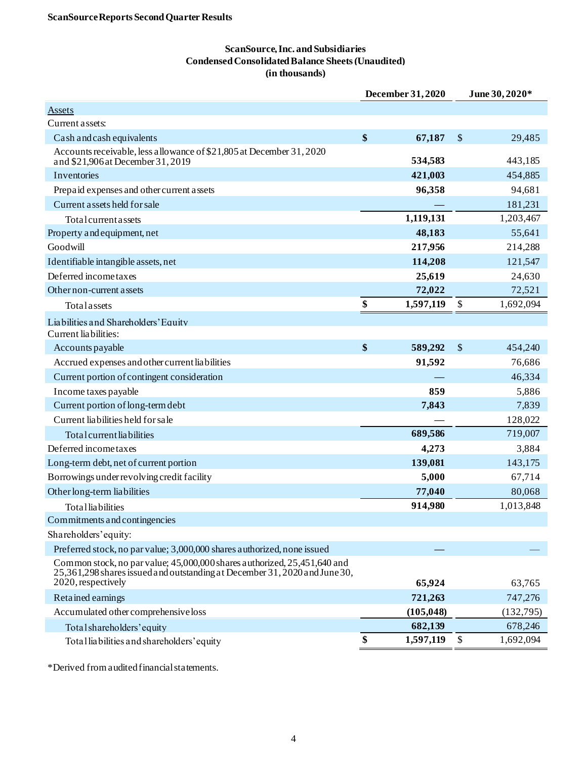### **ScanSource, Inc. and Subsidiaries Condensed Consolidated Balance Sheets (Unaudited) (in thousands)**

| <b>Assets</b><br>Current assets:<br>\$<br>67,187<br>\$<br>Cash and cash equivalents<br>29,485<br>Accounts receivable, less a llowance of \$21,805 at December 31, 2020<br>534,583<br>443,185<br>and \$21,906 at December 31, 2019<br>Inventories<br>421,003<br>454,885<br>Prepaid expenses and other current assets<br>96,358<br>94,681<br>Current assets held for sale<br>181,231<br>1,119,131<br>1,203,467<br>Total current assets<br>Property and equipment, net<br>48,183<br>55,641<br>Goodwill<br>217,956<br>214,288<br>114,208<br>121,547<br>Identifiable intangible assets, net<br>Deferred incometaxes<br>25,619<br>24,630<br>72,022<br>72,521<br>Other non-current assets<br>\$<br>1,597,119<br>1,692,094<br>$\mathsf{\$}$<br>Totalassets<br>Liabilities and Shareholders' Equity<br>Current liabilities:<br>\$<br>$\mathcal{S}$<br>589,292<br>454,240<br>Accounts payable<br>Accrued expenses and other current liabilities<br>91,592<br>76,686<br>Current portion of contingent consideration<br>46,334<br>Income taxes payable<br>859<br>5,886<br>Current portion of long-term debt<br>7,843<br>7,839<br>Current liabilities held for sale<br>128,022<br>689,586<br>719,007<br>Total current liabilities<br>Deferred incometaxes<br>4,273<br>3,884<br>Long-term debt, net of current portion<br>139,081<br>143,175<br>Borrowings under revolving credit facility<br>5,000<br>67,714<br>Other long-term liabilities<br>77,040<br>80,068<br>914,980<br>1,013,848<br><b>Total</b> liabilities<br>Commitments and contingencies<br>Shareholders' equity:<br>Preferred stock, no par value; 3,000,000 shares authorized, none issued<br>Common stock, no par value; 45,000,000 shares authorized, 25,451,640 and<br>25,361,298 shares issued and outstanding at December 31, 2020 and June 30,<br>2020, respectively<br>65,924<br>63,765<br>Retained earnings<br>721,263<br>747,276<br>(105, 048)<br>Accumulated other comprehensive loss<br>(132,795)<br>682,139<br>678,246<br>Total shareholders' equity |                                            | <b>December 31, 2020</b> | June 30, 2020*  |
|-------------------------------------------------------------------------------------------------------------------------------------------------------------------------------------------------------------------------------------------------------------------------------------------------------------------------------------------------------------------------------------------------------------------------------------------------------------------------------------------------------------------------------------------------------------------------------------------------------------------------------------------------------------------------------------------------------------------------------------------------------------------------------------------------------------------------------------------------------------------------------------------------------------------------------------------------------------------------------------------------------------------------------------------------------------------------------------------------------------------------------------------------------------------------------------------------------------------------------------------------------------------------------------------------------------------------------------------------------------------------------------------------------------------------------------------------------------------------------------------------------------------------------------------------------------------------------------------------------------------------------------------------------------------------------------------------------------------------------------------------------------------------------------------------------------------------------------------------------------------------------------------------------------------------------------------------------------------------------------------------------------------|--------------------------------------------|--------------------------|-----------------|
|                                                                                                                                                                                                                                                                                                                                                                                                                                                                                                                                                                                                                                                                                                                                                                                                                                                                                                                                                                                                                                                                                                                                                                                                                                                                                                                                                                                                                                                                                                                                                                                                                                                                                                                                                                                                                                                                                                                                                                                                                   |                                            |                          |                 |
|                                                                                                                                                                                                                                                                                                                                                                                                                                                                                                                                                                                                                                                                                                                                                                                                                                                                                                                                                                                                                                                                                                                                                                                                                                                                                                                                                                                                                                                                                                                                                                                                                                                                                                                                                                                                                                                                                                                                                                                                                   |                                            |                          |                 |
|                                                                                                                                                                                                                                                                                                                                                                                                                                                                                                                                                                                                                                                                                                                                                                                                                                                                                                                                                                                                                                                                                                                                                                                                                                                                                                                                                                                                                                                                                                                                                                                                                                                                                                                                                                                                                                                                                                                                                                                                                   |                                            |                          |                 |
|                                                                                                                                                                                                                                                                                                                                                                                                                                                                                                                                                                                                                                                                                                                                                                                                                                                                                                                                                                                                                                                                                                                                                                                                                                                                                                                                                                                                                                                                                                                                                                                                                                                                                                                                                                                                                                                                                                                                                                                                                   |                                            |                          |                 |
|                                                                                                                                                                                                                                                                                                                                                                                                                                                                                                                                                                                                                                                                                                                                                                                                                                                                                                                                                                                                                                                                                                                                                                                                                                                                                                                                                                                                                                                                                                                                                                                                                                                                                                                                                                                                                                                                                                                                                                                                                   |                                            |                          |                 |
|                                                                                                                                                                                                                                                                                                                                                                                                                                                                                                                                                                                                                                                                                                                                                                                                                                                                                                                                                                                                                                                                                                                                                                                                                                                                                                                                                                                                                                                                                                                                                                                                                                                                                                                                                                                                                                                                                                                                                                                                                   |                                            |                          |                 |
|                                                                                                                                                                                                                                                                                                                                                                                                                                                                                                                                                                                                                                                                                                                                                                                                                                                                                                                                                                                                                                                                                                                                                                                                                                                                                                                                                                                                                                                                                                                                                                                                                                                                                                                                                                                                                                                                                                                                                                                                                   |                                            |                          |                 |
|                                                                                                                                                                                                                                                                                                                                                                                                                                                                                                                                                                                                                                                                                                                                                                                                                                                                                                                                                                                                                                                                                                                                                                                                                                                                                                                                                                                                                                                                                                                                                                                                                                                                                                                                                                                                                                                                                                                                                                                                                   |                                            |                          |                 |
|                                                                                                                                                                                                                                                                                                                                                                                                                                                                                                                                                                                                                                                                                                                                                                                                                                                                                                                                                                                                                                                                                                                                                                                                                                                                                                                                                                                                                                                                                                                                                                                                                                                                                                                                                                                                                                                                                                                                                                                                                   |                                            |                          |                 |
|                                                                                                                                                                                                                                                                                                                                                                                                                                                                                                                                                                                                                                                                                                                                                                                                                                                                                                                                                                                                                                                                                                                                                                                                                                                                                                                                                                                                                                                                                                                                                                                                                                                                                                                                                                                                                                                                                                                                                                                                                   |                                            |                          |                 |
|                                                                                                                                                                                                                                                                                                                                                                                                                                                                                                                                                                                                                                                                                                                                                                                                                                                                                                                                                                                                                                                                                                                                                                                                                                                                                                                                                                                                                                                                                                                                                                                                                                                                                                                                                                                                                                                                                                                                                                                                                   |                                            |                          |                 |
|                                                                                                                                                                                                                                                                                                                                                                                                                                                                                                                                                                                                                                                                                                                                                                                                                                                                                                                                                                                                                                                                                                                                                                                                                                                                                                                                                                                                                                                                                                                                                                                                                                                                                                                                                                                                                                                                                                                                                                                                                   |                                            |                          |                 |
|                                                                                                                                                                                                                                                                                                                                                                                                                                                                                                                                                                                                                                                                                                                                                                                                                                                                                                                                                                                                                                                                                                                                                                                                                                                                                                                                                                                                                                                                                                                                                                                                                                                                                                                                                                                                                                                                                                                                                                                                                   |                                            |                          |                 |
|                                                                                                                                                                                                                                                                                                                                                                                                                                                                                                                                                                                                                                                                                                                                                                                                                                                                                                                                                                                                                                                                                                                                                                                                                                                                                                                                                                                                                                                                                                                                                                                                                                                                                                                                                                                                                                                                                                                                                                                                                   |                                            |                          |                 |
|                                                                                                                                                                                                                                                                                                                                                                                                                                                                                                                                                                                                                                                                                                                                                                                                                                                                                                                                                                                                                                                                                                                                                                                                                                                                                                                                                                                                                                                                                                                                                                                                                                                                                                                                                                                                                                                                                                                                                                                                                   |                                            |                          |                 |
|                                                                                                                                                                                                                                                                                                                                                                                                                                                                                                                                                                                                                                                                                                                                                                                                                                                                                                                                                                                                                                                                                                                                                                                                                                                                                                                                                                                                                                                                                                                                                                                                                                                                                                                                                                                                                                                                                                                                                                                                                   |                                            |                          |                 |
|                                                                                                                                                                                                                                                                                                                                                                                                                                                                                                                                                                                                                                                                                                                                                                                                                                                                                                                                                                                                                                                                                                                                                                                                                                                                                                                                                                                                                                                                                                                                                                                                                                                                                                                                                                                                                                                                                                                                                                                                                   |                                            |                          |                 |
|                                                                                                                                                                                                                                                                                                                                                                                                                                                                                                                                                                                                                                                                                                                                                                                                                                                                                                                                                                                                                                                                                                                                                                                                                                                                                                                                                                                                                                                                                                                                                                                                                                                                                                                                                                                                                                                                                                                                                                                                                   |                                            |                          |                 |
|                                                                                                                                                                                                                                                                                                                                                                                                                                                                                                                                                                                                                                                                                                                                                                                                                                                                                                                                                                                                                                                                                                                                                                                                                                                                                                                                                                                                                                                                                                                                                                                                                                                                                                                                                                                                                                                                                                                                                                                                                   |                                            |                          |                 |
|                                                                                                                                                                                                                                                                                                                                                                                                                                                                                                                                                                                                                                                                                                                                                                                                                                                                                                                                                                                                                                                                                                                                                                                                                                                                                                                                                                                                                                                                                                                                                                                                                                                                                                                                                                                                                                                                                                                                                                                                                   |                                            |                          |                 |
|                                                                                                                                                                                                                                                                                                                                                                                                                                                                                                                                                                                                                                                                                                                                                                                                                                                                                                                                                                                                                                                                                                                                                                                                                                                                                                                                                                                                                                                                                                                                                                                                                                                                                                                                                                                                                                                                                                                                                                                                                   |                                            |                          |                 |
|                                                                                                                                                                                                                                                                                                                                                                                                                                                                                                                                                                                                                                                                                                                                                                                                                                                                                                                                                                                                                                                                                                                                                                                                                                                                                                                                                                                                                                                                                                                                                                                                                                                                                                                                                                                                                                                                                                                                                                                                                   |                                            |                          |                 |
|                                                                                                                                                                                                                                                                                                                                                                                                                                                                                                                                                                                                                                                                                                                                                                                                                                                                                                                                                                                                                                                                                                                                                                                                                                                                                                                                                                                                                                                                                                                                                                                                                                                                                                                                                                                                                                                                                                                                                                                                                   |                                            |                          |                 |
|                                                                                                                                                                                                                                                                                                                                                                                                                                                                                                                                                                                                                                                                                                                                                                                                                                                                                                                                                                                                                                                                                                                                                                                                                                                                                                                                                                                                                                                                                                                                                                                                                                                                                                                                                                                                                                                                                                                                                                                                                   |                                            |                          |                 |
|                                                                                                                                                                                                                                                                                                                                                                                                                                                                                                                                                                                                                                                                                                                                                                                                                                                                                                                                                                                                                                                                                                                                                                                                                                                                                                                                                                                                                                                                                                                                                                                                                                                                                                                                                                                                                                                                                                                                                                                                                   |                                            |                          |                 |
|                                                                                                                                                                                                                                                                                                                                                                                                                                                                                                                                                                                                                                                                                                                                                                                                                                                                                                                                                                                                                                                                                                                                                                                                                                                                                                                                                                                                                                                                                                                                                                                                                                                                                                                                                                                                                                                                                                                                                                                                                   |                                            |                          |                 |
|                                                                                                                                                                                                                                                                                                                                                                                                                                                                                                                                                                                                                                                                                                                                                                                                                                                                                                                                                                                                                                                                                                                                                                                                                                                                                                                                                                                                                                                                                                                                                                                                                                                                                                                                                                                                                                                                                                                                                                                                                   |                                            |                          |                 |
|                                                                                                                                                                                                                                                                                                                                                                                                                                                                                                                                                                                                                                                                                                                                                                                                                                                                                                                                                                                                                                                                                                                                                                                                                                                                                                                                                                                                                                                                                                                                                                                                                                                                                                                                                                                                                                                                                                                                                                                                                   |                                            |                          |                 |
|                                                                                                                                                                                                                                                                                                                                                                                                                                                                                                                                                                                                                                                                                                                                                                                                                                                                                                                                                                                                                                                                                                                                                                                                                                                                                                                                                                                                                                                                                                                                                                                                                                                                                                                                                                                                                                                                                                                                                                                                                   |                                            |                          |                 |
|                                                                                                                                                                                                                                                                                                                                                                                                                                                                                                                                                                                                                                                                                                                                                                                                                                                                                                                                                                                                                                                                                                                                                                                                                                                                                                                                                                                                                                                                                                                                                                                                                                                                                                                                                                                                                                                                                                                                                                                                                   |                                            |                          |                 |
|                                                                                                                                                                                                                                                                                                                                                                                                                                                                                                                                                                                                                                                                                                                                                                                                                                                                                                                                                                                                                                                                                                                                                                                                                                                                                                                                                                                                                                                                                                                                                                                                                                                                                                                                                                                                                                                                                                                                                                                                                   |                                            |                          |                 |
|                                                                                                                                                                                                                                                                                                                                                                                                                                                                                                                                                                                                                                                                                                                                                                                                                                                                                                                                                                                                                                                                                                                                                                                                                                                                                                                                                                                                                                                                                                                                                                                                                                                                                                                                                                                                                                                                                                                                                                                                                   |                                            |                          |                 |
|                                                                                                                                                                                                                                                                                                                                                                                                                                                                                                                                                                                                                                                                                                                                                                                                                                                                                                                                                                                                                                                                                                                                                                                                                                                                                                                                                                                                                                                                                                                                                                                                                                                                                                                                                                                                                                                                                                                                                                                                                   |                                            |                          |                 |
|                                                                                                                                                                                                                                                                                                                                                                                                                                                                                                                                                                                                                                                                                                                                                                                                                                                                                                                                                                                                                                                                                                                                                                                                                                                                                                                                                                                                                                                                                                                                                                                                                                                                                                                                                                                                                                                                                                                                                                                                                   |                                            |                          |                 |
|                                                                                                                                                                                                                                                                                                                                                                                                                                                                                                                                                                                                                                                                                                                                                                                                                                                                                                                                                                                                                                                                                                                                                                                                                                                                                                                                                                                                                                                                                                                                                                                                                                                                                                                                                                                                                                                                                                                                                                                                                   | Total liabilities and shareholders' equity | \$<br>1,597,119          | \$<br>1,692,094 |

\*Derived from audited financial statements.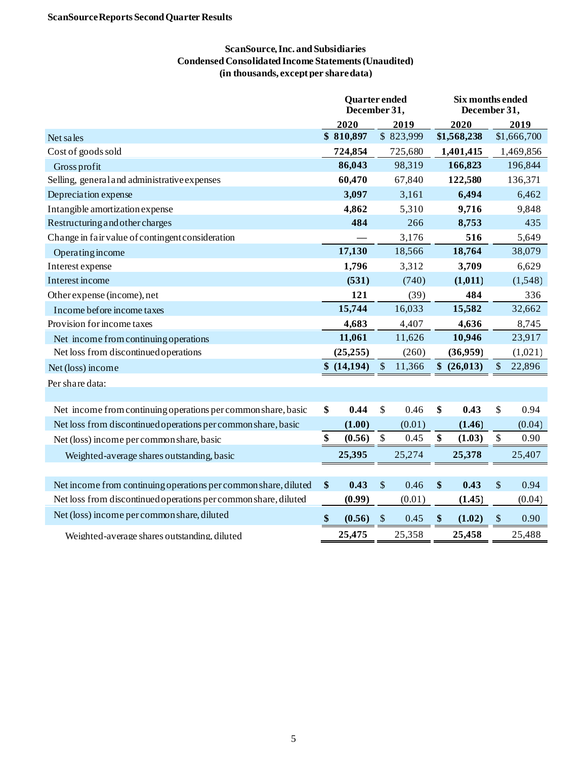### **ScanSource, Inc. and Subsidiaries Condensed Consolidated Income Statements (Unaudited) (in thousands, except per share data)**

|                                                                 |                           | <b>Quarter</b> ended<br>December 31, |           | Six months ended<br>December 31, |                           |             |  |  |
|-----------------------------------------------------------------|---------------------------|--------------------------------------|-----------|----------------------------------|---------------------------|-------------|--|--|
|                                                                 | 2020                      |                                      | 2019      | 2020                             |                           | 2019        |  |  |
| Net sales                                                       | \$810,897                 |                                      | \$823,999 | \$1,568,238                      |                           | \$1,666,700 |  |  |
| Cost of goods sold                                              | 724,854                   |                                      | 725,680   | 1,401,415                        |                           | 1,469,856   |  |  |
| Gross profit                                                    | 86,043                    |                                      | 98,319    | 166,823                          |                           | 196,844     |  |  |
| Selling, general and administrative expenses                    | 60,470                    |                                      | 67,840    | 122,580                          |                           | 136,371     |  |  |
| Depreciation expense                                            | 3,097                     |                                      | 3,161     | 6,494                            |                           | 6,462       |  |  |
| Intangible amortization expense                                 | 4,862                     |                                      | 5,310     | 9,716                            |                           | 9,848       |  |  |
| Restructuring and other charges                                 | 484                       |                                      | 266       | 8,753                            |                           | 435         |  |  |
| Change in fair value of contingent consideration                |                           |                                      | 3,176     | 516                              |                           | 5,649       |  |  |
| Operating income                                                | 17,130                    |                                      | 18,566    | 18,764                           |                           | 38,079      |  |  |
| Interest expense                                                | 1,796                     |                                      | 3,312     | 3,709                            |                           | 6,629       |  |  |
| Interest income                                                 | (531)                     |                                      | (740)     | (1, 011)                         |                           | (1,548)     |  |  |
| Other expense (income), net                                     | 121                       |                                      | (39)      | 484                              |                           | 336         |  |  |
| Income before income taxes                                      | 15,744                    |                                      | 16,033    | 15,582                           |                           | 32,662      |  |  |
| Provision for income taxes                                      | 4,683                     |                                      | 4,407     | 4,636                            |                           | 8,745       |  |  |
| Net income from continuing operations                           | 11,061                    |                                      | 11,626    | 10,946                           |                           | 23,917      |  |  |
| Net loss from discontinued operations                           | (25, 255)                 |                                      | (260)     | (36,959)                         |                           | (1,021)     |  |  |
| Net (loss) income                                               | (14, 194)                 | \$                                   | 11,366    | \$<br>(26, 013)                  | \$                        | 22,896      |  |  |
| Per share data:                                                 |                           |                                      |           |                                  |                           |             |  |  |
|                                                                 |                           |                                      |           |                                  |                           |             |  |  |
| Net income from continuing operations per common share, basic   | $\boldsymbol{\$}$<br>0.44 | $\mathcal{S}$                        | 0.46      | \$<br>0.43                       | \$                        | 0.94        |  |  |
| Net loss from discontinued operations per common share, basic   | (1.00)                    |                                      | (0.01)    | (1.46)                           |                           | (0.04)      |  |  |
| Net (loss) income per common share, basic                       | \$<br>(0.56)              | $\sqrt$                              | 0.45      | \$<br>(1.03)                     | $\boldsymbol{\mathsf{S}}$ | 0.90        |  |  |
| Weighted-average shares outstanding, basic                      | 25,395                    |                                      | 25,274    | 25,378                           |                           | 25,407      |  |  |
|                                                                 |                           |                                      |           |                                  |                           |             |  |  |
| Net income from continuing operations per common share, diluted | \$<br>0.43                | $\boldsymbol{\mathsf{S}}$            | 0.46      | \$<br>0.43                       | \$                        | 0.94        |  |  |
| Net loss from discontinued operations per common share, diluted | (0.99)                    |                                      | (0.01)    | (1.45)                           |                           | (0.04)      |  |  |
| Net (loss) income per common share, diluted                     | (0.56)                    | \$                                   | 0.45      | \$<br>(1.02)                     | \$                        | 0.90        |  |  |
| Weighted-average shares outstanding, diluted                    | 25,475                    |                                      | 25,358    | 25,458                           |                           | 25,488      |  |  |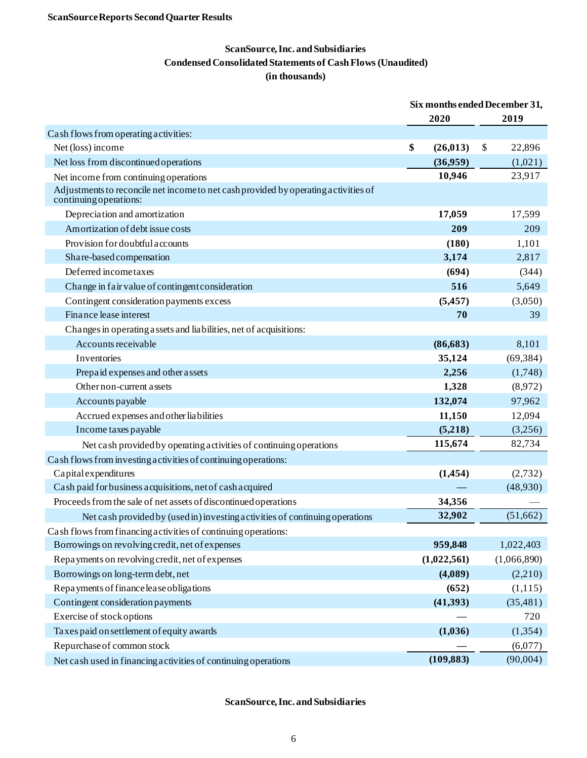## **ScanSource, Inc. and Subsidiaries Condensed Consolidated Statements of Cash Flows (Unaudited) (in thousands)**

|                                                                                                               | Six months ended December 31, |             |    |             |
|---------------------------------------------------------------------------------------------------------------|-------------------------------|-------------|----|-------------|
|                                                                                                               |                               | 2020        |    | 2019        |
| Cash flows from operating activities:                                                                         |                               |             |    |             |
| Net (loss) income                                                                                             | \$                            | (26, 013)   | \$ | 22,896      |
| Net loss from discontinued operations                                                                         |                               | (36,959)    |    | (1,021)     |
| Net income from continuing operations                                                                         |                               | 10,946      |    | 23,917      |
| Adjustments to reconcile net income to net cash provided by operating activities of<br>continuing operations: |                               |             |    |             |
| Depreciation and amortization                                                                                 |                               | 17,059      |    | 17,599      |
| Amortization of debt issue costs                                                                              |                               | 209         |    | 209         |
| Provision for doubtful accounts                                                                               |                               | (180)       |    | 1,101       |
| Share-based compensation                                                                                      |                               | 3,174       |    | 2,817       |
| Deferred incometaxes                                                                                          |                               | (694)       |    | (344)       |
| Change in fair value of contingent consideration                                                              |                               | 516         |    | 5,649       |
| Contingent consideration payments excess                                                                      |                               | (5, 457)    |    | (3,050)     |
| Finance lease interest                                                                                        |                               | 70          |    | 39          |
| Changes in operating assets and liabilities, net of acquisitions:                                             |                               |             |    |             |
| Accounts receivable                                                                                           |                               | (86,683)    |    | 8,101       |
| Inventories                                                                                                   |                               | 35,124      |    | (69, 384)   |
| Prepaid expenses and other assets                                                                             |                               | 2,256       |    | (1,748)     |
| Other non-current assets                                                                                      |                               | 1,328       |    | (8,972)     |
| Accounts payable                                                                                              |                               | 132,074     |    | 97,962      |
| Accrued expenses and other liabilities                                                                        |                               | 11,150      |    | 12,094      |
| Income taxes payable                                                                                          |                               | (5,218)     |    | (3,256)     |
| Net cash provided by operating activities of continuing operations                                            |                               | 115,674     |    | 82,734      |
| Cash flows from investing activities of continuing operations:                                                |                               |             |    |             |
| Capital expenditures                                                                                          |                               | (1, 454)    |    | (2,732)     |
| Cash paid for business acquisitions, net of cash acquired                                                     |                               |             |    | (48,930)    |
| Proceeds from the sale of net assets of discontinued operations                                               |                               | 34,356      |    |             |
| Net cash provided by (used in) investing activities of continuing operations                                  |                               | 32,902      |    | (51,662)    |
| Cash flows from financing activities of continuing operations:                                                |                               |             |    |             |
| Borrowings on revolving credit, net of expenses                                                               |                               | 959,848     |    | 1,022,403   |
| Repayments on revolving credit, net of expenses                                                               |                               | (1,022,561) |    | (1,066,890) |
| Borrowings on long-term debt, net                                                                             |                               | (4,089)     |    | (2,210)     |
| Repayments of finance lease obligations                                                                       |                               | (652)       |    | (1, 115)    |
| Contingent consideration payments                                                                             |                               | (41,393)    |    | (35, 481)   |
| Exercise of stock options                                                                                     |                               |             |    | 720         |
| Taxes paid on settlement of equity awards                                                                     |                               | (1,036)     |    | (1, 354)    |
| Repurchase of common stock                                                                                    |                               |             |    | (6,077)     |
| Net cash used in financing activities of continuing operations                                                |                               | (109, 883)  |    | (90,004)    |

### **ScanSource, Inc. and Subsidiaries**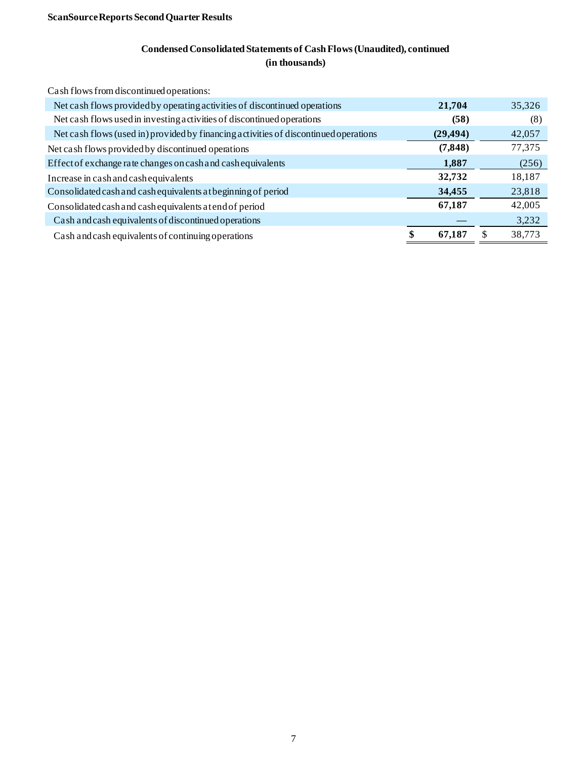## **Condensed Consolidated Statements of Cash Flows (Unaudited), continued (in thousands)**

| Cash flows from discontinued operations:                                             |   |           |   |        |
|--------------------------------------------------------------------------------------|---|-----------|---|--------|
| Net cash flows provided by operating activities of discontinued operations           |   | 21,704    |   | 35,326 |
| Net cash flows used in investing activities of discontinued operations               |   | (58)      |   | (8)    |
| Net cash flows (used in) provided by financing activities of discontinued operations |   | (29, 494) |   | 42,057 |
| Net cash flows provided by discontinued operations                                   |   | (7, 848)  |   | 77,375 |
| Effect of exchange rate changes on cash and cash equivalents                         |   | 1,887     |   | (256)  |
| Increase in cash and cash equivalents                                                |   | 32,732    |   | 18,187 |
| Consolidated cash and cash equivalents at beginning of period                        |   | 34,455    |   | 23,818 |
| Consolidated cash and cash equivalents at end of period                              |   | 67,187    |   | 42,005 |
| Cash and cash equivalents of discontinued operations                                 |   |           |   | 3,232  |
| Cash and cash equivalents of continuing operations                                   | S | 67.187    | ж | 38,773 |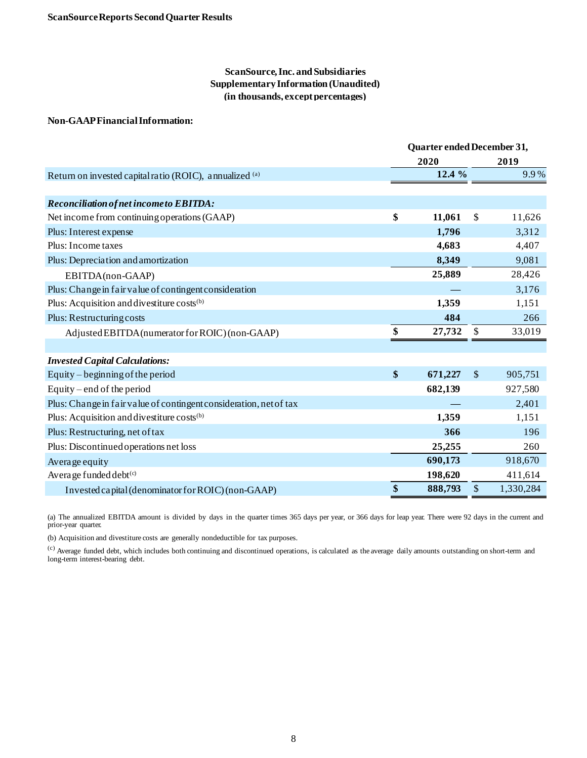#### **ScanSource, Inc. and Subsidiaries Supplementary Information (Unaudited) (in thousands, except percentages)**

#### **Non-GAAP Financial Information:**

|                                                                    | <b>Quarter ended December 31,</b> |    |           |  |  |  |
|--------------------------------------------------------------------|-----------------------------------|----|-----------|--|--|--|
|                                                                    | 2020                              |    | 2019      |  |  |  |
| Return on invested capital ratio (ROIC), annualized (a)            | 12.4 %                            |    | 9.9%      |  |  |  |
|                                                                    |                                   |    |           |  |  |  |
| Reconciliation of net income to EBITDA:                            |                                   |    |           |  |  |  |
| Net income from continuing operations (GAAP)                       | \$<br>11,061                      | \$ | 11,626    |  |  |  |
| Plus: Interest expense                                             | 1,796                             |    | 3,312     |  |  |  |
| Plus: Income taxes                                                 | 4,683                             |    | 4,407     |  |  |  |
| Plus: Depreciation and amortization                                | 8,349                             |    | 9,081     |  |  |  |
| EBITDA(non-GAAP)                                                   | 25,889                            |    | 28,426    |  |  |  |
| Plus: Change in fair value of contingent consideration             |                                   |    | 3,176     |  |  |  |
| Plus: Acquisition and divestiture costs <sup>(b)</sup>             | 1,359                             |    | 1,151     |  |  |  |
| Plus: Restructuring costs                                          | 484                               |    | 266       |  |  |  |
| Adjusted EBITDA (numerator for ROIC) (non-GAAP)                    | \$<br>27,732                      | \$ | 33,019    |  |  |  |
|                                                                    |                                   |    |           |  |  |  |
| <b>Invested Capital Calculations:</b>                              |                                   |    |           |  |  |  |
| Equity – beginning of the period                                   | \$<br>671,227                     | \$ | 905,751   |  |  |  |
| Equity – end of the period                                         | 682,139                           |    | 927,580   |  |  |  |
| Plus: Change in fair value of contingent consideration, net of tax |                                   |    | 2,401     |  |  |  |
| Plus: Acquisition and divestiture costs <sup>(b)</sup>             | 1,359                             |    | 1,151     |  |  |  |
| Plus: Restructuring, net of tax                                    | 366                               |    | 196       |  |  |  |
| Plus: Discontinued operations net loss                             | 25,255                            |    | 260       |  |  |  |
| Average equity                                                     | 690,173                           |    | 918,670   |  |  |  |
| Average funded debt <sup>(c)</sup>                                 | 198,620                           |    | 411,614   |  |  |  |
| Invested capital (denominator for ROIC) (non-GAAP)                 | \$<br>888,793                     | \$ | 1,330,284 |  |  |  |

(a) The annualized EBITDA amount is divided by days in the quarter times 365 days per year, or 366 days for leap year. There were 92 days in the current and prior-year quarter.

(b) Acquisition and divestiture costs are generally nondeductible for tax purposes.

(c) Average funded debt, which includes both continuing and discontinued operations, is calculated as the average daily amounts outstanding on short-term and long-term interest-bearing debt.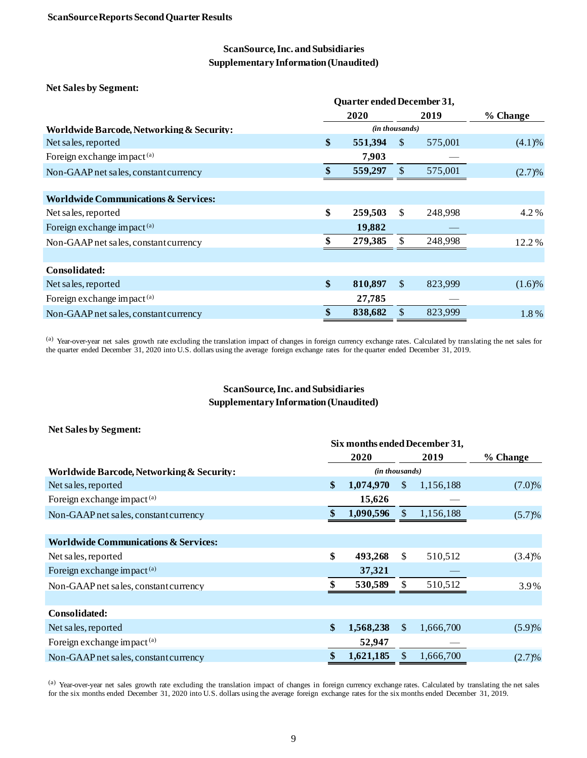#### **Net Sales by Segment:**

|                                                 |    | <b>Quarter ended December 31,</b> |                |         |           |
|-------------------------------------------------|----|-----------------------------------|----------------|---------|-----------|
|                                                 |    | 2020                              |                | 2019    | % Change  |
| Worldwide Barcode, Networking & Security:       |    |                                   | (in thousands) |         |           |
| Net sales, reported                             | \$ | 551,394                           | $\mathbb{S}$   | 575,001 | (4.1)%    |
| Foreign exchange impact <sup>(a)</sup>          |    | 7,903                             |                |         |           |
| Non-GAAP net sales, constant currency           | \$ | 559,297                           |                | 575,001 | (2.7)%    |
|                                                 |    |                                   |                |         |           |
| <b>Worldwide Communications &amp; Services:</b> |    |                                   |                |         |           |
| Net sales, reported                             | \$ | 259,503                           | \$             | 248,998 | 4.2%      |
| Foreign exchange impact <sup>(a)</sup>          |    | 19,882                            |                |         |           |
| Non-GAAP net sales, constant currency           |    | 279,385                           |                | 248.998 | 12.2%     |
|                                                 |    |                                   |                |         |           |
| Consolidated:                                   |    |                                   |                |         |           |
| Net sales, reported                             | \$ | 810,897                           | $\mathcal{S}$  | 823,999 | $(1.6)\%$ |
| Foreign exchange impact <sup>(a)</sup>          |    | 27,785                            |                |         |           |
| Non-GAAP net sales, constant currency           | \$ | 838,682                           |                | 823,999 | 1.8%      |

(a) Year-over-year net sales growth rate excluding the translation impact of changes in foreign currency exchange rates. Calculated by translating the net sales for the quarter ended December 31, 2020 into U.S. dollars using the average foreign exchange rates for the quarter ended December 31, 2019.

### **ScanSource, Inc. and Subsidiaries Supplementary Information (Unaudited)**

#### **Net Sales by Segment:**

|                                                 | Six months ended December 31, |                |               |           |           |  |  |  |  |  |  |
|-------------------------------------------------|-------------------------------|----------------|---------------|-----------|-----------|--|--|--|--|--|--|
|                                                 |                               | 2020           |               | 2019      | % Change  |  |  |  |  |  |  |
| Worldwide Barcode, Networking & Security:       |                               | (in thousands) |               |           |           |  |  |  |  |  |  |
| Net sales, reported                             | \$                            | 1,074,970      | <sup>\$</sup> | 1,156,188 | $(7.0)\%$ |  |  |  |  |  |  |
| Foreign exchange impact <sup>(a)</sup>          |                               | 15,626         |               |           |           |  |  |  |  |  |  |
| Non-GAAP net sales, constant currency           |                               | 1,090,596      |               | 1,156,188 | (5.7)%    |  |  |  |  |  |  |
|                                                 |                               |                |               |           |           |  |  |  |  |  |  |
| <b>Worldwide Communications &amp; Services:</b> |                               |                |               |           |           |  |  |  |  |  |  |
| Net sales, reported                             | \$                            | 493,268        | \$            | 510,512   | (3.4)%    |  |  |  |  |  |  |
| Foreign exchange impact <sup>(a)</sup>          |                               | 37,321         |               |           |           |  |  |  |  |  |  |
| Non-GAAP net sales, constant currency           |                               | 530,589        | \$            | 510,512   | 3.9%      |  |  |  |  |  |  |
|                                                 |                               |                |               |           |           |  |  |  |  |  |  |
| Consolidated:                                   |                               |                |               |           |           |  |  |  |  |  |  |
| Net sales, reported                             | \$                            | 1,568,238      | \$            | 1,666,700 | (5.9)%    |  |  |  |  |  |  |
| Foreign exchange impact <sup>(a)</sup>          |                               | 52,947         |               |           |           |  |  |  |  |  |  |
| Non-GAAP net sales, constant currency           | \$                            | 1,621,185      |               | 1.666.700 | (2.7)%    |  |  |  |  |  |  |

(a) Year-over-year net sales growth rate excluding the translation impact of changes in foreign currency exchange rates. Calculated by translating the net sales for the six months ended December 31, 2020 into U.S. dollars using the average foreign exchange rates for the six months ended December 31, 2019.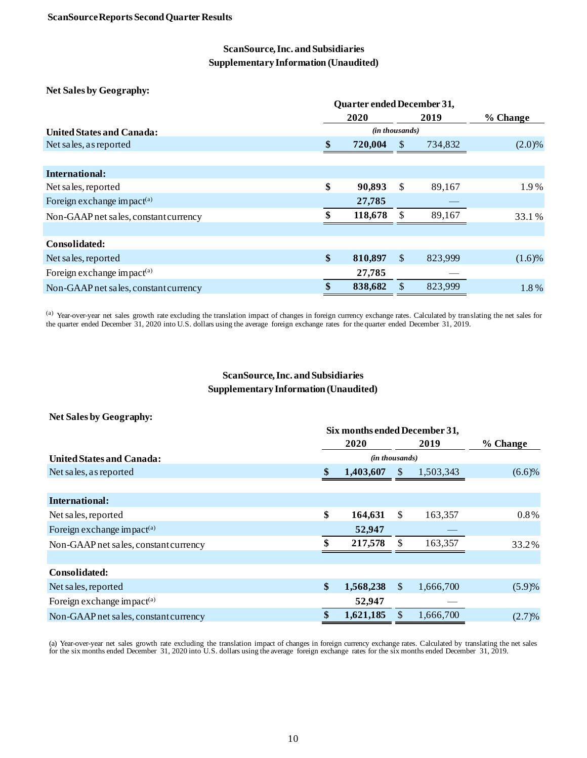**Net Sales by Geography:**

|                                        |                   | <b>Quarter ended December 31,</b> |               |         |           |
|----------------------------------------|-------------------|-----------------------------------|---------------|---------|-----------|
|                                        |                   | 2020                              |               | 2019    | % Change  |
| <b>United States and Canada:</b>       |                   | (in thousands)                    |               |         |           |
| Net sales, as reported                 | $\boldsymbol{\$}$ | 720,004                           | <sup>\$</sup> | 734,832 | $(2.0)\%$ |
|                                        |                   |                                   |               |         |           |
| International:                         |                   |                                   |               |         |           |
| Net sales, reported                    | \$                | 90,893                            | $\mathbb{S}$  | 89,167  | 1.9%      |
| Foreign exchange impact <sup>(a)</sup> |                   | 27,785                            |               |         |           |
| Non-GAAP net sales, constant currency  | \$                | 118,678                           | \$            | 89,167  | 33.1 %    |
|                                        |                   |                                   |               |         |           |
| Consolidated:                          |                   |                                   |               |         |           |
| Net sales, reported                    | \$                | 810,897                           | \$            | 823.999 | $(1.6)\%$ |
| Foreign exchange impact <sup>(a)</sup> |                   | 27,785                            |               |         |           |
| Non-GAAP net sales, constant currency  | \$                | 838,682                           |               | 823,999 | 1.8%      |

(a) Year-over-year net sales growth rate excluding the translation impact of changes in foreign currency exchange rates. Calculated by translating the net sales for the quarter ended December 31, 2020 into U.S. dollars using the average foreign exchange rates for the quarter ended December 31, 2019.

## **ScanSource, Inc. and Subsidiaries Supplementary Information (Unaudited)**

#### **Net Sales by Geography:**

|                                        |    | Six months ended December 31, |               |           |           |
|----------------------------------------|----|-------------------------------|---------------|-----------|-----------|
|                                        |    | 2020                          |               | 2019      | % Change  |
| <b>United States and Canada:</b>       |    | (in thousands)                |               |           |           |
| Net sales, as reported                 | \$ | 1,403,607                     | <sup>\$</sup> | 1,503,343 | $(6.6)$ % |
|                                        |    |                               |               |           |           |
| International:                         |    |                               |               |           |           |
| Net sales, reported                    | \$ | 164,631                       | <sup>\$</sup> | 163,357   | $0.8\%$   |
| Foreign exchange impact <sup>(a)</sup> |    | 52,947                        |               |           |           |
| Non-GAAP net sales, constant currency  | \$ | 217,578                       |               | 163,357   | 33.2%     |
|                                        |    |                               |               |           |           |
| Consolidated:                          |    |                               |               |           |           |
| Net sales, reported                    | \$ | 1,568,238                     | \$            | 1,666,700 | (5.9)%    |
| Foreign exchange impact <sup>(a)</sup> |    | 52,947                        |               |           |           |
| Non-GAAP net sales, constant currency  | \$ | 1,621,185                     |               | 1,666,700 | (2.7)%    |

(a) Year-over-year net sales growth rate excluding the translation impact of changes in foreign currency exchange rates. Calculated by translating the net sales for the six months ended December 31, 2020 into U.S. dollars using the average foreign exchange rates for the six months ended December 31, 2019.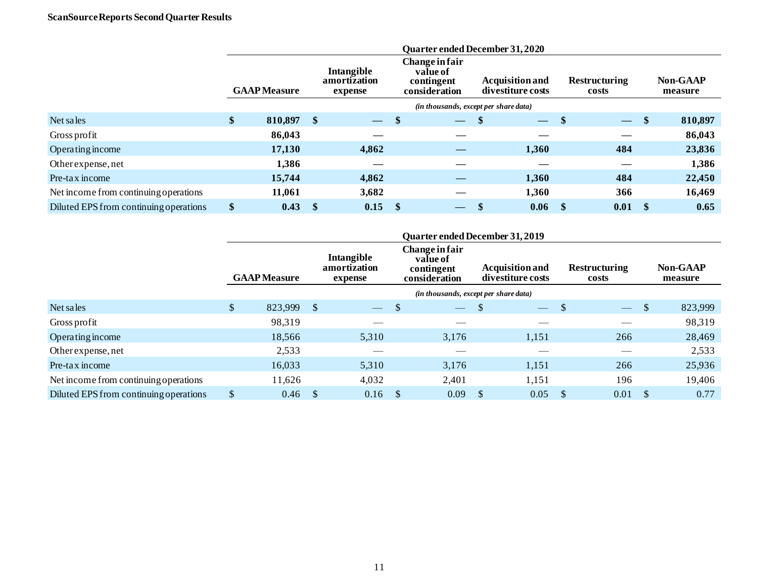|                                        | <b>Quarter ended December 31, 2020</b> |         |      |                                                                                                    |      |                                       |                                             |       |                               |                          |    |                            |
|----------------------------------------|----------------------------------------|---------|------|----------------------------------------------------------------------------------------------------|------|---------------------------------------|---------------------------------------------|-------|-------------------------------|--------------------------|----|----------------------------|
|                                        | <b>GAAP</b> Measure                    |         |      | Change in fair<br>Intangible<br>value of<br>amortization<br>contingent<br>consideration<br>expense |      |                                       | <b>Acquisition and</b><br>divestiture costs |       | <b>Restructuring</b><br>costs |                          |    | <b>Non-GAAP</b><br>measure |
|                                        |                                        |         |      |                                                                                                    |      | (in thousands, except per share data) |                                             |       |                               |                          |    |                            |
| Net sales                              | \$                                     | 810,897 | - \$ | $-$ \$                                                                                             |      | $\overline{\phantom{0}}$              | $\boldsymbol{\$}$                           |       |                               | $\overline{\phantom{m}}$ | \$ | 810,897                    |
| Gross profit                           |                                        | 86,043  |      |                                                                                                    |      |                                       |                                             |       |                               |                          |    | 86,043                     |
| Operating income                       |                                        | 17,130  |      | 4,862                                                                                              |      |                                       |                                             | 1,360 |                               | 484                      |    | 23,836                     |
| Other expense, net                     |                                        | 1,386   |      |                                                                                                    |      |                                       |                                             |       |                               |                          |    | 1,386                      |
| Pre-tax income                         |                                        | 15,744  |      | 4,862                                                                                              |      |                                       |                                             | 1,360 |                               | 484                      |    | 22,450                     |
| Net income from continuing operations  |                                        | 11,061  |      | 3,682                                                                                              |      |                                       |                                             | 1,360 |                               | 366                      |    | 16,469                     |
| Diluted EPS from continuing operations | \$                                     | 0.43    | - \$ | 0.15                                                                                               | - \$ |                                       | \$                                          | 0.06  | -S                            | 0.01                     | \$ | 0.65                       |

|                                        | <b>Quarter ended December 31, 2019</b> |                                       |                                       |               |                                                           |          |                                             |              |                               |               |                            |  |  |
|----------------------------------------|----------------------------------------|---------------------------------------|---------------------------------------|---------------|-----------------------------------------------------------|----------|---------------------------------------------|--------------|-------------------------------|---------------|----------------------------|--|--|
|                                        | <b>GAAP</b> Measure                    |                                       | Intangible<br>amortization<br>expense |               | Change in fair<br>value of<br>contingent<br>consideration |          | <b>Acquisition and</b><br>divestiture costs |              | <b>Restructuring</b><br>costs |               | <b>Non-GAAP</b><br>measure |  |  |
|                                        |                                        | (in thousands, except per share data) |                                       |               |                                                           |          |                                             |              |                               |               |                            |  |  |
| Net sales                              | \$<br>823,999                          | - \$                                  | $\longrightarrow$                     | <sup>\$</sup> | $\frac{1}{2}$                                             | <b>S</b> | $\hspace{0.05cm}$                           | $\mathbb{S}$ |                               | $\mathcal{S}$ | 823,999                    |  |  |
| Gross profit                           | 98,319                                 |                                       |                                       |               |                                                           |          |                                             |              |                               |               | 98,319                     |  |  |
| Operating income                       | 18,566                                 |                                       | 5,310                                 |               | 3,176                                                     |          | 1,151                                       |              | 266                           |               | 28,469                     |  |  |
| Other expense, net                     | 2,533                                  |                                       | —                                     |               |                                                           |          |                                             |              | __                            |               | 2,533                      |  |  |
| Pre-tax income                         | 16,033                                 |                                       | 5,310                                 |               | 3,176                                                     |          | 1,151                                       |              | 266                           |               | 25,936                     |  |  |
| Net income from continuing operations  | 11,626                                 |                                       | 4,032                                 |               | 2,401                                                     |          | 1,151                                       |              | 196                           |               | 19,406                     |  |  |
| Diluted EPS from continuing operations | \$<br>0.46                             |                                       | 0.16                                  |               | 0.09                                                      |          | 0.05                                        |              | 0.01                          |               | 0.77                       |  |  |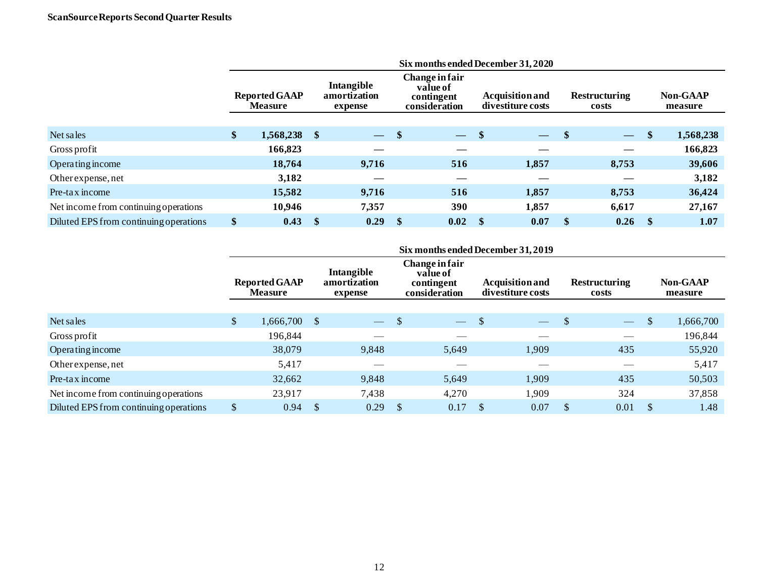|                                        | Six months ended December 31, 2020     |      |                                       |    |                                                                  |               |                                             |    |                               |    |                            |  |
|----------------------------------------|----------------------------------------|------|---------------------------------------|----|------------------------------------------------------------------|---------------|---------------------------------------------|----|-------------------------------|----|----------------------------|--|
|                                        | <b>Reported GAAP</b><br><b>Measure</b> |      | Intangible<br>amortization<br>expense |    | <b>Change</b> in fair<br>value of<br>contingent<br>consideration |               | <b>Acquisition and</b><br>divestiture costs |    | <b>Restructuring</b><br>costs |    | <b>Non-GAAP</b><br>measure |  |
|                                        |                                        |      |                                       |    |                                                                  |               |                                             |    |                               |    |                            |  |
| Net sales                              | \$<br>1,568,238                        | - \$ | $\overline{\phantom{m}}$              | -S |                                                                  | $\bullet$     | $\overline{\phantom{m}}$                    |    | $\overline{\phantom{0}}$      | \$ | 1,568,238                  |  |
| Gross profit                           | 166,823                                |      |                                       |    |                                                                  |               |                                             |    |                               |    | 166,823                    |  |
| Operating income                       | 18,764                                 |      | 9,716                                 |    | 516                                                              |               | 1,857                                       |    | 8,753                         |    | 39,606                     |  |
| Other expense, net                     | 3,182                                  |      |                                       |    |                                                                  |               |                                             |    |                               |    | 3,182                      |  |
| Pre-tax income                         | 15,582                                 |      | 9,716                                 |    | 516                                                              |               | 1,857                                       |    | 8,753                         |    | 36,424                     |  |
| Net income from continuing operations  | 10,946                                 |      | 7,357                                 |    | 390                                                              |               | 1,857                                       |    | 6,617                         |    | 27,167                     |  |
| Diluted EPS from continuing operations | \$<br>0.43                             | - \$ | 0.29                                  |    | 0.02                                                             | $\mathbf{\$}$ | 0.07                                        | \$ | 0.26                          |    | 1.07                       |  |

|                                        | Six months ended December 31, 2019     |               |                                       |               |                                                           |               |                                             |               |                               |                           |                            |  |
|----------------------------------------|----------------------------------------|---------------|---------------------------------------|---------------|-----------------------------------------------------------|---------------|---------------------------------------------|---------------|-------------------------------|---------------------------|----------------------------|--|
|                                        | <b>Reported GAAP</b><br><b>Measure</b> |               | Intangible<br>amortization<br>expense |               | Change in fair<br>value of<br>contingent<br>consideration |               | <b>Acquisition and</b><br>divestiture costs |               | <b>Restructuring</b><br>costs |                           | <b>Non-GAAP</b><br>measure |  |
|                                        |                                        |               |                                       |               |                                                           |               |                                             |               |                               |                           |                            |  |
| Net sales                              | \$<br>1,666,700                        | - \$          | $\hspace{0.05cm}$                     | <sup>\$</sup> | $\qquad \qquad -$                                         | $\mathcal{S}$ | $\overline{\phantom{m}}$                    | \$            | $\overline{\phantom{a}}$      | $\boldsymbol{\mathsf{S}}$ | 1,666,700                  |  |
| Gross profit                           | 196,844                                |               |                                       |               |                                                           |               |                                             |               |                               |                           | 196,844                    |  |
| Operating income                       | 38,079                                 |               | 9,848                                 |               | 5,649                                                     |               | 1,909                                       |               | 435                           |                           | 55,920                     |  |
| Other expense, net                     | 5,417                                  |               |                                       |               |                                                           |               |                                             |               |                               |                           | 5,417                      |  |
| Pre-tax income                         | 32,662                                 |               | 9,848                                 |               | 5,649                                                     |               | 1,909                                       |               | 435                           |                           | 50,503                     |  |
| Net income from continuing operations  | 23,917                                 |               | 7,438                                 |               | 4,270                                                     |               | 1,909                                       |               | 324                           |                           | 37,858                     |  |
| Diluted EPS from continuing operations | \$<br>0.94                             | $\mathcal{S}$ | 0.29                                  |               | 0.17                                                      | S             | 0.07                                        | <sup>\$</sup> | 0.01                          |                           | 1.48                       |  |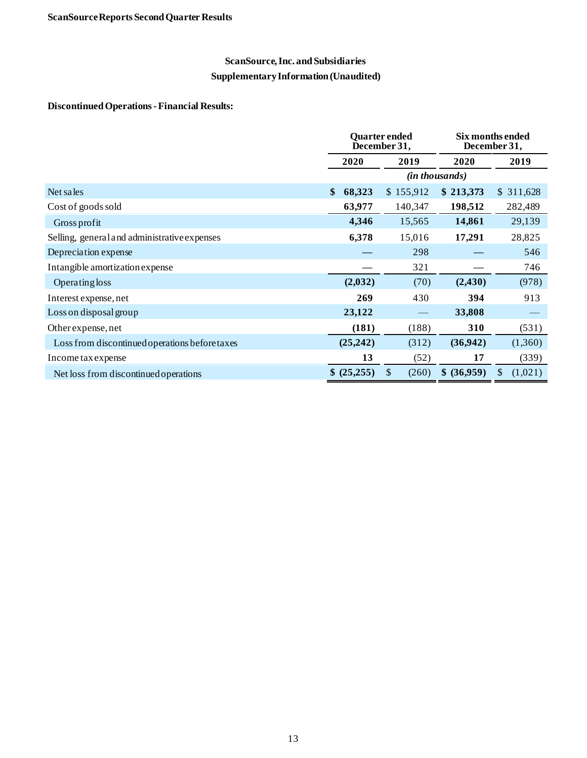### **Discontinued Operations -Financial Results:**

|                                                |              | <b>Quarter ended</b><br>December 31, | Six months ended<br>December 31, |                          |  |
|------------------------------------------------|--------------|--------------------------------------|----------------------------------|--------------------------|--|
|                                                | 2020         | 2019                                 | 2020                             | 2019                     |  |
|                                                |              | (in thousands)                       |                                  |                          |  |
| Net sales                                      | \$<br>68,323 | \$155,912                            | \$213,373                        | \$311,628                |  |
| Cost of goods sold                             | 63,977       | 140,347                              | 198,512                          | 282,489                  |  |
| Gross profit                                   | 4,346        | 15,565                               | 14,861                           | 29,139                   |  |
| Selling, general and administrative expenses   | 6,378        | 15,016                               | 17,291                           | 28,825                   |  |
| Depreciation expense                           |              | 298                                  |                                  | 546                      |  |
| Intangible amortization expense                |              | 321                                  |                                  | 746                      |  |
| Operating loss                                 | (2,032)      | (70)                                 | (2,430)                          | (978)                    |  |
| Interest expense, net                          | 269          | 430                                  | 394                              | 913                      |  |
| Loss on disposal group                         | 23,122       |                                      | 33,808                           |                          |  |
| Other expense, net                             | (181)        | (188)                                | 310                              | (531)                    |  |
| Loss from discontinued operations before taxes | (25,242)     | (312)                                | (36,942)                         | (1,360)                  |  |
| Income tax expense                             | 13           | (52)                                 | 17                               | (339)                    |  |
| Net loss from discontinued operations          | \$ (25,255)  | \$.<br>(260)                         | \$ (36,959)                      | $\mathcal{S}$<br>(1,021) |  |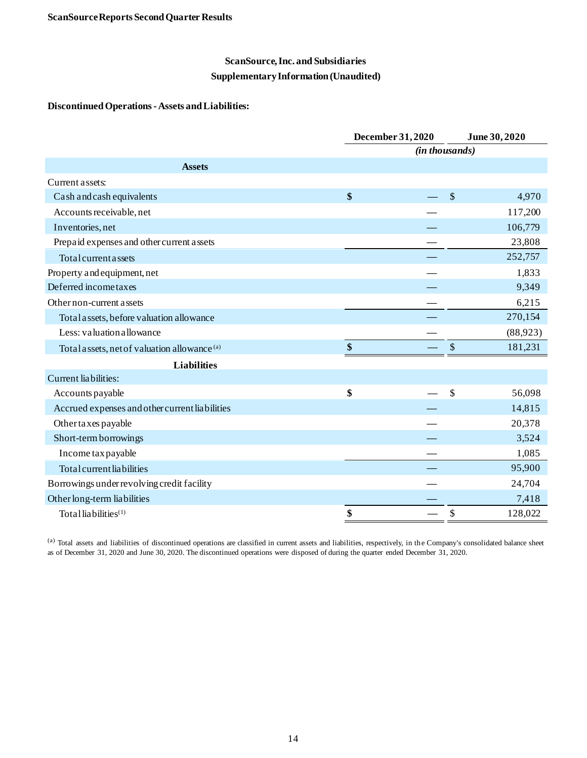#### **Discontinued Operations -Assets and Liabilities:**

|                                                         | December 31, 2020 | June 30, 2020          |  |  |
|---------------------------------------------------------|-------------------|------------------------|--|--|
|                                                         | (in thousands)    |                        |  |  |
| <b>Assets</b>                                           |                   |                        |  |  |
| Current assets:                                         |                   |                        |  |  |
| Cash and cash equivalents                               | \$                | $\mathcal{S}$<br>4,970 |  |  |
| Accounts receivable, net                                |                   | 117,200                |  |  |
| Inventories, net                                        |                   | 106,779                |  |  |
| Prepaid expenses and other current assets               |                   | 23,808                 |  |  |
| Total current assets                                    |                   | 252,757                |  |  |
| Property and equipment, net                             |                   | 1,833                  |  |  |
| Deferred incometaxes                                    |                   | 9,349                  |  |  |
| Other non-current assets                                |                   | 6,215                  |  |  |
| Total assets, before valuation allowance                |                   | 270,154                |  |  |
| Less: valuation allowance                               |                   | (88,923)               |  |  |
| Total assets, net of valuation allowance <sup>(a)</sup> | \$                | \$<br>181,231          |  |  |
| <b>Liabilities</b>                                      |                   |                        |  |  |
| Current liabilities:                                    |                   |                        |  |  |
| Accounts payable                                        | \$                | \$<br>56,098           |  |  |
| Accrued expenses and other current liabilities          |                   | 14,815                 |  |  |
| Other taxes payable                                     |                   | 20,378                 |  |  |
| Short-term borrowings                                   |                   | 3,524                  |  |  |
| Income tax payable                                      |                   | 1,085                  |  |  |
| Total current liabilities                               |                   | 95,900                 |  |  |
| Borrowings under revolving credit facility              |                   | 24,704                 |  |  |
| Other long-term liabilities                             |                   | 7,418                  |  |  |
| Total liabilities <sup>(1)</sup>                        | \$                | \$<br>128,022          |  |  |

(a) Total assets and liabilities of discontinued operations are classified in current assets and liabilities, respectively, in the Company's consolidated balance sheet as of December 31, 2020 and June 30, 2020. The discontinued operations were disposed of during the quarter ended December 31, 2020.